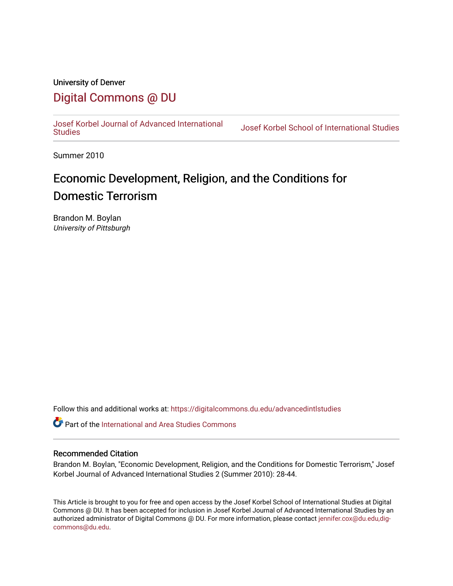# University of Denver

# [Digital Commons @ DU](https://digitalcommons.du.edu/)

[Josef Korbel Journal of Advanced International](https://digitalcommons.du.edu/advancedintlstudies) 

Josef Korbel School of International Studies

Summer 2010

# Economic Development, Religion, and the Conditions for Domestic Terrorism

Brandon M. Boylan University of Pittsburgh

Follow this and additional works at: [https://digitalcommons.du.edu/advancedintlstudies](https://digitalcommons.du.edu/advancedintlstudies?utm_source=digitalcommons.du.edu%2Fadvancedintlstudies%2F16&utm_medium=PDF&utm_campaign=PDFCoverPages)

Part of the [International and Area Studies Commons](http://network.bepress.com/hgg/discipline/360?utm_source=digitalcommons.du.edu%2Fadvancedintlstudies%2F16&utm_medium=PDF&utm_campaign=PDFCoverPages) 

#### Recommended Citation

Brandon M. Boylan, "Economic Development, Religion, and the Conditions for Domestic Terrorism," Josef Korbel Journal of Advanced International Studies 2 (Summer 2010): 28-44.

This Article is brought to you for free and open access by the Josef Korbel School of International Studies at Digital Commons @ DU. It has been accepted for inclusion in Josef Korbel Journal of Advanced International Studies by an authorized administrator of Digital Commons @ DU. For more information, please contact [jennifer.cox@du.edu,dig](mailto:jennifer.cox@du.edu,dig-commons@du.edu)[commons@du.edu.](mailto:jennifer.cox@du.edu,dig-commons@du.edu)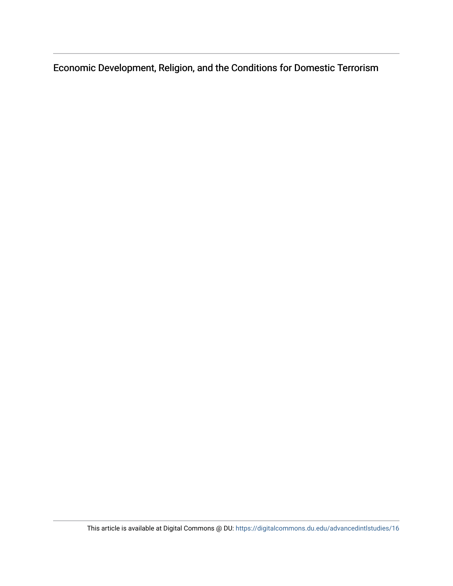Economic Development, Religion, and the Conditions for Domestic Terrorism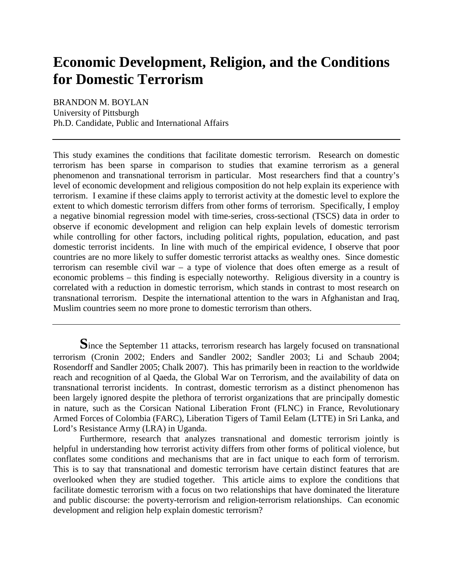# **Economic Development, Religion, and the Conditions for Domestic Terrorism**

BRANDON M. BOYLAN University of Pittsburgh Ph.D. Candidate, Public and International Affairs

This study examines the conditions that facilitate domestic terrorism. Research on domestic terrorism has been sparse in comparison to studies that examine terrorism as a general phenomenon and transnational terrorism in particular. Most researchers find that a country's level of economic development and religious composition do not help explain its experience with terrorism. I examine if these claims apply to terrorist activity at the domestic level to explore the extent to which domestic terrorism differs from other forms of terrorism. Specifically, I employ a negative binomial regression model with time-series, cross-sectional (TSCS) data in order to observe if economic development and religion can help explain levels of domestic terrorism while controlling for other factors, including political rights, population, education, and past domestic terrorist incidents. In line with much of the empirical evidence, I observe that poor countries are no more likely to suffer domestic terrorist attacks as wealthy ones. Since domestic terrorism can resemble civil war – a type of violence that does often emerge as a result of economic problems – this finding is especially noteworthy. Religious diversity in a country is correlated with a reduction in domestic terrorism, which stands in contrast to most research on transnational terrorism. Despite the international attention to the wars in Afghanistan and Iraq, Muslim countries seem no more prone to domestic terrorism than others.

Furthermore, research that analyzes transnational and domestic terrorism jointly is helpful in understanding how terrorist activity differs from other forms of political violence, but conflates some conditions and mechanisms that are in fact unique to each form of terrorism. This is to say that transnational and domestic terrorism have certain distinct features that are overlooked when they are studied together. This article aims to explore the conditions that facilitate domestic terrorism with a focus on two relationships that have dominated the literature and public discourse: the poverty-terrorism and religion-terrorism relationships. Can economic development and religion help explain domestic terrorism?

Since the September 11 attacks, terrorism research has largely focused on transnational terrorism (Cronin 2002; Enders and Sandler 2002; Sandler 2003; Li and Schaub 2004; Rosendorff and Sandler 2005; Chalk 2007). This has primarily been in reaction to the worldwide reach and recognition of al Qaeda, the Global War on Terrorism, and the availability of data on transnational terrorist incidents. In contrast, domestic terrorism as a distinct phenomenon has been largely ignored despite the plethora of terrorist organizations that are principally domestic in nature, such as the Corsican National Liberation Front (FLNC) in France, Revolutionary Armed Forces of Colombia (FARC), Liberation Tigers of Tamil Eelam (LTTE) in Sri Lanka, and Lord's Resistance Army (LRA) in Uganda.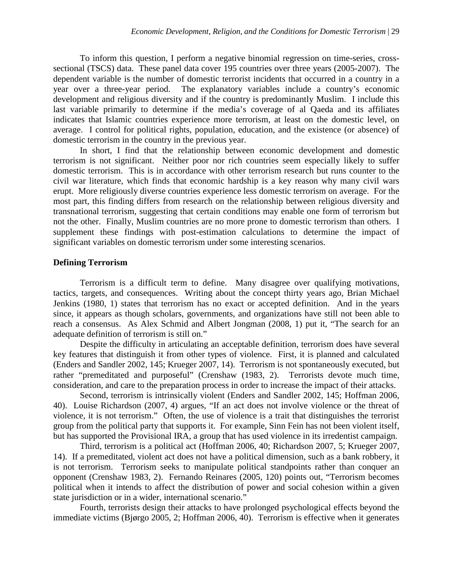To inform this question, I perform a negative binomial regression on time-series, crosssectional (TSCS) data. These panel data cover 195 countries over three years (2005-2007). The dependent variable is the number of domestic terrorist incidents that occurred in a country in a year over a three-year period. The explanatory variables include a country's economic development and religious diversity and if the country is predominantly Muslim. I include this last variable primarily to determine if the media's coverage of al Qaeda and its affiliates indicates that Islamic countries experience more terrorism, at least on the domestic level, on average. I control for political rights, population, education, and the existence (or absence) of domestic terrorism in the country in the previous year.

In short, I find that the relationship between economic development and domestic terrorism is not significant. Neither poor nor rich countries seem especially likely to suffer domestic terrorism. This is in accordance with other terrorism research but runs counter to the civil war literature, which finds that economic hardship is a key reason why many civil wars erupt. More religiously diverse countries experience less domestic terrorism on average. For the most part, this finding differs from research on the relationship between religious diversity and transnational terrorism, suggesting that certain conditions may enable one form of terrorism but not the other. Finally, Muslim countries are no more prone to domestic terrorism than others. I supplement these findings with post-estimation calculations to determine the impact of significant variables on domestic terrorism under some interesting scenarios.

#### **Defining Terrorism**

Terrorism is a difficult term to define. Many disagree over qualifying motivations, tactics, targets, and consequences. Writing about the concept thirty years ago, Brian Michael Jenkins (1980, 1) states that terrorism has no exact or accepted definition. And in the years since, it appears as though scholars, governments, and organizations have still not been able to reach a consensus. As Alex Schmid and Albert Jongman (2008, 1) put it, "The search for an adequate definition of terrorism is still on."

Despite the difficulty in articulating an acceptable definition, terrorism does have several key features that distinguish it from other types of violence. First, it is planned and calculated (Enders and Sandler 2002, 145; Krueger 2007, 14). Terrorism is not spontaneously executed, but rather "premeditated and purposeful" (Crenshaw (1983, 2). Terrorists devote much time, consideration, and care to the preparation process in order to increase the impact of their attacks.

Second, terrorism is intrinsically violent (Enders and Sandler 2002, 145; Hoffman 2006, 40). Louise Richardson (2007, 4) argues, "If an act does not involve violence or the threat of violence, it is not terrorism." Often, the use of violence is a trait that distinguishes the terrorist group from the political party that supports it. For example, Sinn Fein has not been violent itself, but has supported the Provisional IRA, a group that has used violence in its irredentist campaign.

Third, terrorism is a political act (Hoffman 2006, 40; Richardson 2007, 5; Krueger 2007, 14). If a premeditated, violent act does not have a political dimension, such as a bank robbery, it is not terrorism. Terrorism seeks to manipulate political standpoints rather than conquer an opponent (Crenshaw 1983, 2). Fernando Reinares (2005, 120) points out, "Terrorism becomes political when it intends to affect the distribution of power and social cohesion within a given state jurisdiction or in a wider, international scenario."

Fourth, terrorists design their attacks to have prolonged psychological effects beyond the immediate victims (Bjørgo 2005, 2; Hoffman 2006, 40). Terrorism is effective when it generates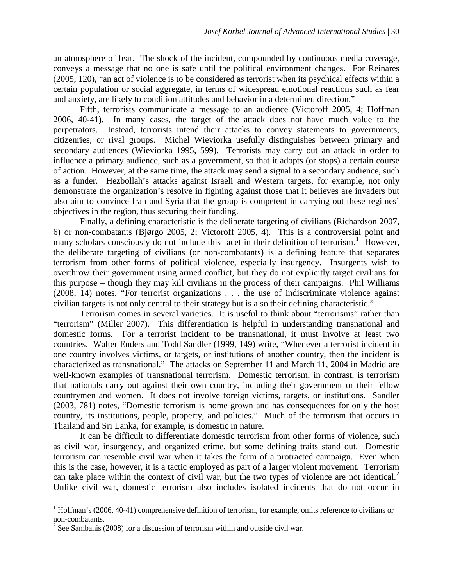an atmosphere of fear. The shock of the incident, compounded by continuous media coverage, conveys a message that no one is safe until the political environment changes. For Reinares (2005, 120), "an act of violence is to be considered as terrorist when its psychical effects within a certain population or social aggregate, in terms of widespread emotional reactions such as fear and anxiety, are likely to condition attitudes and behavior in a determined direction."

Fifth, terrorists communicate a message to an audience (Victoroff 2005, 4; Hoffman 2006, 40-41). In many cases, the target of the attack does not have much value to the perpetrators. Instead, terrorists intend their attacks to convey statements to governments, citizenries, or rival groups. Michel Wieviorka usefully distinguishes between primary and secondary audiences (Wieviorka 1995, 599). Terrorists may carry out an attack in order to influence a primary audience, such as a government, so that it adopts (or stops) a certain course of action. However, at the same time, the attack may send a signal to a secondary audience, such as a funder. Hezbollah's attacks against Israeli and Western targets, for example, not only demonstrate the organization's resolve in fighting against those that it believes are invaders but also aim to convince Iran and Syria that the group is competent in carrying out these regimes' objectives in the region, thus securing their funding.

Finally, a defining characteristic is the deliberate targeting of civilians (Richardson 2007, 6) or non-combatants (Bjørgo 2005, 2; Victoroff 2005, 4). This is a controversial point and many scholars consciously do not include this facet in their definition of terrorism.<sup>[1](#page-4-0)</sup> However, the deliberate targeting of civilians (or non-combatants) is a defining feature that separates terrorism from other forms of political violence, especially insurgency. Insurgents wish to overthrow their government using armed conflict, but they do not explicitly target civilians for this purpose – though they may kill civilians in the process of their campaigns. Phil Williams (2008, 14) notes, "For terrorist organizations . . . the use of indiscriminate violence against civilian targets is not only central to their strategy but is also their defining characteristic."

Terrorism comes in several varieties. It is useful to think about "terrorisms" rather than "terrorism" (Miller 2007). This differentiation is helpful in understanding transnational and domestic forms. For a terrorist incident to be transnational, it must involve at least two countries. Walter Enders and Todd Sandler (1999, 149) write, "Whenever a terrorist incident in one country involves victims, or targets, or institutions of another country, then the incident is characterized as transnational." The attacks on September 11 and March 11, 2004 in Madrid are well-known examples of transnational terrorism. Domestic terrorism, in contrast, is terrorism that nationals carry out against their own country, including their government or their fellow countrymen and women. It does not involve foreign victims, targets, or institutions. Sandler (2003, 781) notes, "Domestic terrorism is home grown and has consequences for only the host country, its institutions, people, property, and policies." Much of the terrorism that occurs in Thailand and Sri Lanka, for example, is domestic in nature.

It can be difficult to differentiate domestic terrorism from other forms of violence, such as civil war, insurgency, and organized crime, but some defining traits stand out. Domestic terrorism can resemble civil war when it takes the form of a protracted campaign. Even when this is the case, however, it is a tactic employed as part of a larger violent movement. Terrorism can take place within the context of civil war, but the two types of violence are not identical. [2](#page-4-1) Unlike civil war, domestic terrorism also includes isolated incidents that do not occur in

<span id="page-4-0"></span> $1$  Hoffman's (2006, 40-41) comprehensive definition of terrorism, for example, omits reference to civilians or non-combatants.

<span id="page-4-1"></span> $2$  See Sambanis (2008) for a discussion of terrorism within and outside civil war.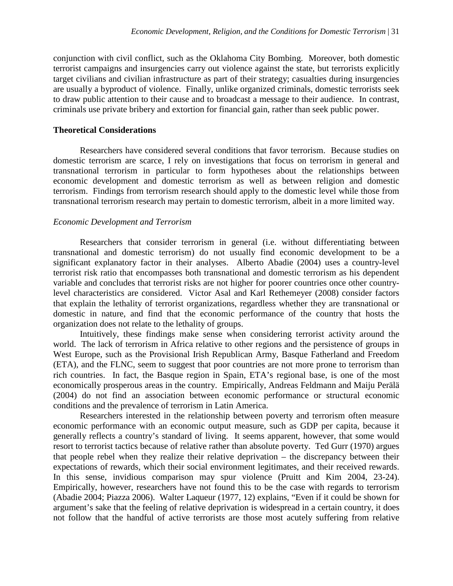conjunction with civil conflict, such as the Oklahoma City Bombing. Moreover, both domestic terrorist campaigns and insurgencies carry out violence against the state, but terrorists explicitly target civilians and civilian infrastructure as part of their strategy; casualties during insurgencies are usually a byproduct of violence. Finally, unlike organized criminals, domestic terrorists seek to draw public attention to their cause and to broadcast a message to their audience. In contrast, criminals use private bribery and extortion for financial gain, rather than seek public power.

#### **Theoretical Considerations**

Researchers have considered several conditions that favor terrorism. Because studies on domestic terrorism are scarce, I rely on investigations that focus on terrorism in general and transnational terrorism in particular to form hypotheses about the relationships between economic development and domestic terrorism as well as between religion and domestic terrorism. Findings from terrorism research should apply to the domestic level while those from transnational terrorism research may pertain to domestic terrorism, albeit in a more limited way.

#### *Economic Development and Terrorism*

Researchers that consider terrorism in general (i.e. without differentiating between transnational and domestic terrorism) do not usually find economic development to be a significant explanatory factor in their analyses. Alberto Abadie (2004) uses a country-level terrorist risk ratio that encompasses both transnational and domestic terrorism as his dependent variable and concludes that terrorist risks are not higher for poorer countries once other countrylevel characteristics are considered. Victor Asal and Karl Rethemeyer (2008) consider factors that explain the lethality of terrorist organizations, regardless whether they are transnational or domestic in nature, and find that the economic performance of the country that hosts the organization does not relate to the lethality of groups.

Intuitively, these findings make sense when considering terrorist activity around the world. The lack of terrorism in Africa relative to other regions and the persistence of groups in West Europe, such as the Provisional Irish Republican Army, Basque Fatherland and Freedom (ETA), and the FLNC, seem to suggest that poor countries are not more prone to terrorism than rich countries. In fact, the Basque region in Spain, ETA's regional base, is one of the most economically prosperous areas in the country. Empirically, Andreas Feldmann and Maiju Perälä (2004) do not find an association between economic performance or structural economic conditions and the prevalence of terrorism in Latin America.

Researchers interested in the relationship between poverty and terrorism often measure economic performance with an economic output measure, such as GDP per capita, because it generally reflects a country's standard of living. It seems apparent, however, that some would resort to terrorist tactics because of relative rather than absolute poverty. Ted Gurr (1970) argues that people rebel when they realize their relative deprivation – the discrepancy between their expectations of rewards, which their social environment legitimates, and their received rewards. In this sense, invidious comparison may spur violence (Pruitt and Kim 2004, 23-24). Empirically, however, researchers have not found this to be the case with regards to terrorism (Abadie 2004; Piazza 2006). Walter Laqueur (1977, 12) explains, "Even if it could be shown for argument's sake that the feeling of relative deprivation is widespread in a certain country, it does not follow that the handful of active terrorists are those most acutely suffering from relative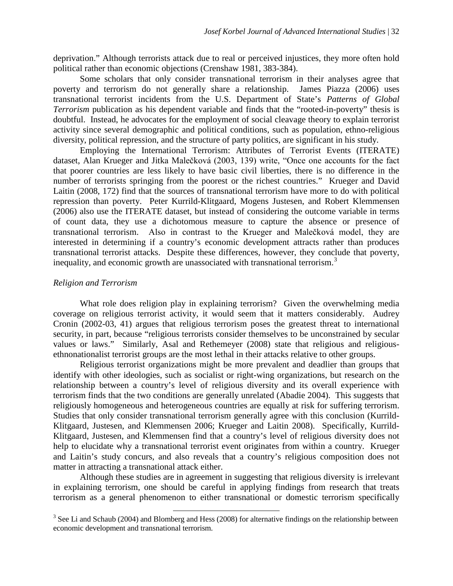deprivation." Although terrorists attack due to real or perceived injustices, they more often hold political rather than economic objections (Crenshaw 1981, 383-384).

Some scholars that only consider transnational terrorism in their analyses agree that poverty and terrorism do not generally share a relationship. James Piazza (2006) uses transnational terrorist incidents from the U.S. Department of State's *Patterns of Global Terrorism* publication as his dependent variable and finds that the "rooted-in-poverty" thesis is doubtful. Instead, he advocates for the employment of social cleavage theory to explain terrorist activity since several demographic and political conditions, such as population, ethno-religious diversity, political repression, and the structure of party politics, are significant in his study.

Employing the International Terrorism: Attributes of Terrorist Events (ITERATE) dataset, Alan Krueger and Jitka Malečková (2003, 139) write, "Once one accounts for the fact that poorer countries are less likely to have basic civil liberties, there is no difference in the number of terrorists springing from the poorest or the richest countries." Krueger and David Laitin (2008, 172) find that the sources of transnational terrorism have more to do with political repression than poverty. Peter Kurrild-Klitgaard, Mogens Justesen, and Robert Klemmensen (2006) also use the ITERATE dataset, but instead of considering the outcome variable in terms of count data, they use a dichotomous measure to capture the absence or presence of transnational terrorism. Also in contrast to the Krueger and Malečková model, they are interested in determining if a country's economic development attracts rather than produces transnational terrorist attacks. Despite these differences, however, they conclude that poverty, inequality, and economic growth are unassociated with transnational terrorism.<sup>[3](#page-6-0)</sup>

#### *Religion and Terrorism*

What role does religion play in explaining terrorism? Given the overwhelming media coverage on religious terrorist activity, it would seem that it matters considerably. Audrey Cronin (2002-03, 41) argues that religious terrorism poses the greatest threat to international security, in part, because "religious terrorists consider themselves to be unconstrained by secular values or laws." Similarly, Asal and Rethemeyer (2008) state that religious and religiousethnonationalist terrorist groups are the most lethal in their attacks relative to other groups.

Religious terrorist organizations might be more prevalent and deadlier than groups that identify with other ideologies, such as socialist or right-wing organizations, but research on the relationship between a country's level of religious diversity and its overall experience with terrorism finds that the two conditions are generally unrelated (Abadie 2004). This suggests that religiously homogeneous and heterogeneous countries are equally at risk for suffering terrorism. Studies that only consider transnational terrorism generally agree with this conclusion (Kurrild-Klitgaard, Justesen, and Klemmensen 2006; Krueger and Laitin 2008). Specifically, Kurrild-Klitgaard, Justesen, and Klemmensen find that a country's level of religious diversity does not help to elucidate why a transnational terrorist event originates from within a country. Krueger and Laitin's study concurs, and also reveals that a country's religious composition does not matter in attracting a transnational attack either.

Although these studies are in agreement in suggesting that religious diversity is irrelevant in explaining terrorism, one should be careful in applying findings from research that treats terrorism as a general phenomenon to either transnational or domestic terrorism specifically

<span id="page-6-0"></span><sup>&</sup>lt;sup>3</sup> See Li and Schaub (2004) and Blomberg and Hess (2008) for alternative findings on the relationship between economic development and transnational terrorism.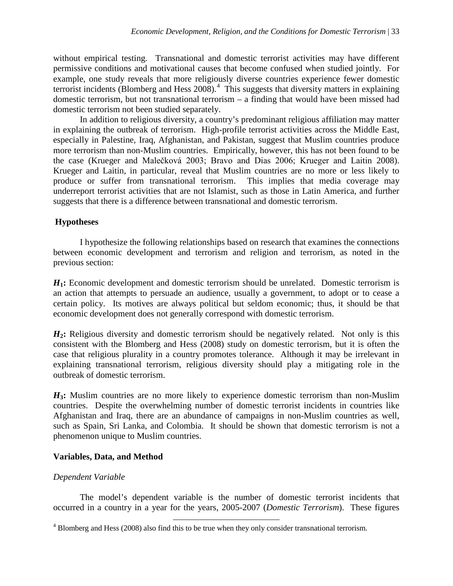without empirical testing. Transnational and domestic terrorist activities may have different permissive conditions and motivational causes that become confused when studied jointly. For example, one study reveals that more religiously diverse countries experience fewer domestic terrorist incidents (Blomberg and Hess 2008).<sup>[4](#page-7-0)</sup> This suggests that diversity matters in explaining domestic terrorism, but not transnational terrorism – a finding that would have been missed had domestic terrorism not been studied separately.

In addition to religious diversity, a country's predominant religious affiliation may matter in explaining the outbreak of terrorism. High-profile terrorist activities across the Middle East, especially in Palestine, Iraq, Afghanistan, and Pakistan, suggest that Muslim countries produce more terrorism than non-Muslim countries. Empirically, however, this has not been found to be the case (Krueger and Malečková 2003; Bravo and Dias 2006; Krueger and Laitin 2008). Krueger and Laitin, in particular, reveal that Muslim countries are no more or less likely to produce or suffer from transnational terrorism. This implies that media coverage may underreport terrorist activities that are not Islamist, such as those in Latin America, and further suggests that there is a difference between transnational and domestic terrorism.

## **Hypotheses**

I hypothesize the following relationships based on research that examines the connections between economic development and terrorism and religion and terrorism, as noted in the previous section:

*H***1:** Economic development and domestic terrorism should be unrelated. Domestic terrorism is an action that attempts to persuade an audience, usually a government, to adopt or to cease a certain policy. Its motives are always political but seldom economic; thus, it should be that economic development does not generally correspond with domestic terrorism.

H<sub>2</sub>: Religious diversity and domestic terrorism should be negatively related. Not only is this consistent with the Blomberg and Hess (2008) study on domestic terrorism, but it is often the case that religious plurality in a country promotes tolerance. Although it may be irrelevant in explaining transnational terrorism, religious diversity should play a mitigating role in the outbreak of domestic terrorism.

*H***3:** Muslim countries are no more likely to experience domestic terrorism than non-Muslim countries. Despite the overwhelming number of domestic terrorist incidents in countries like Afghanistan and Iraq, there are an abundance of campaigns in non-Muslim countries as well, such as Spain, Sri Lanka, and Colombia. It should be shown that domestic terrorism is not a phenomenon unique to Muslim countries.

### **Variables, Data, and Method**

### *Dependent Variable*

The model's dependent variable is the number of domestic terrorist incidents that occurred in a country in a year for the years, 2005-2007 (*Domestic Terrorism*). These figures

<span id="page-7-0"></span><sup>4</sup> Blomberg and Hess (2008) also find this to be true when they only consider transnational terrorism.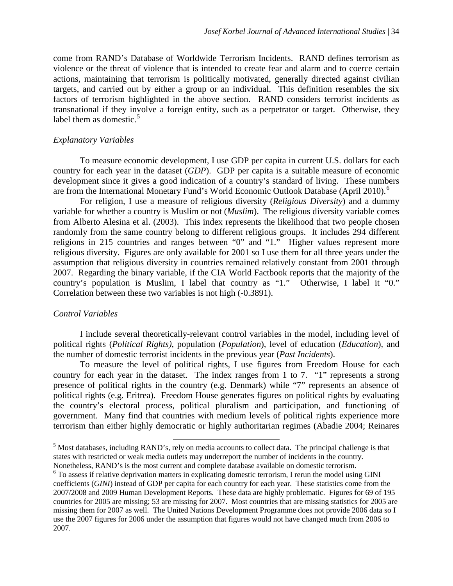come from RAND's Database of Worldwide Terrorism Incidents. RAND defines terrorism as violence or the threat of violence that is intended to create fear and alarm and to coerce certain actions, maintaining that terrorism is politically motivated, generally directed against civilian targets, and carried out by either a group or an individual. This definition resembles the six factors of terrorism highlighted in the above section. RAND considers terrorist incidents as transnational if they involve a foreign entity, such as a perpetrator or target. Otherwise, they label them as domestic.<sup>[5](#page-8-0)</sup>

#### *Explanatory Variables*

To measure economic development, I use GDP per capita in current U.S. dollars for each country for each year in the dataset (*GDP*). GDP per capita is a suitable measure of economic development since it gives a good indication of a country's standard of living. These numbers are from the International Monetary Fund's World Economic Outlook Database (April 2010).<sup>[6](#page-8-1)</sup>

For religion, I use a measure of religious diversity (*Religious Diversity*) and a dummy variable for whether a country is Muslim or not (*Muslim*). The religious diversity variable comes from Alberto Alesina et al. (2003). This index represents the likelihood that two people chosen randomly from the same country belong to different religious groups. It includes 294 different religions in 215 countries and ranges between "0" and "1." Higher values represent more religious diversity. Figures are only available for 2001 so I use them for all three years under the assumption that religious diversity in countries remained relatively constant from 2001 through 2007. Regarding the binary variable, if the CIA World Factbook reports that the majority of the country's population is Muslim, I label that country as "1." Otherwise, I label it "0." Correlation between these two variables is not high (-0.3891).

#### *Control Variables*

I include several theoretically-relevant control variables in the model, including level of political rights (*Political Rights)*, population (*Population*), level of education (*Education*), and the number of domestic terrorist incidents in the previous year (*Past Incidents*).

To measure the level of political rights, I use figures from Freedom House for each country for each year in the dataset. The index ranges from 1 to 7. "1" represents a strong presence of political rights in the country (e.g. Denmark) while "7" represents an absence of political rights (e.g. Eritrea). Freedom House generates figures on political rights by evaluating the country's electoral process, political pluralism and participation, and functioning of government. Many find that countries with medium levels of political rights experience more terrorism than either highly democratic or highly authoritarian regimes (Abadie 2004; Reinares

 $\overline{\phantom{0}}$ 

<span id="page-8-0"></span><sup>&</sup>lt;sup>5</sup> Most databases, including RAND's, rely on media accounts to collect data. The principal challenge is that states with restricted or weak media outlets may underreport the number of incidents in the country. Nonetheless, RAND's is the most current and complete database available on domestic terrorism.

<span id="page-8-1"></span><sup>&</sup>lt;sup>6</sup> To assess if relative deprivation matters in explicating domestic terrorism, I rerun the model using GINI coefficients (*GINI*) instead of GDP per capita for each country for each year. These statistics come from the 2007/2008 and 2009 Human Development Reports. These data are highly problematic. Figures for 69 of 195 countries for 2005 are missing; 53 are missing for 2007. Most countries that are missing statistics for 2005 are missing them for 2007 as well. The United Nations Development Programme does not provide 2006 data so I use the 2007 figures for 2006 under the assumption that figures would not have changed much from 2006 to 2007.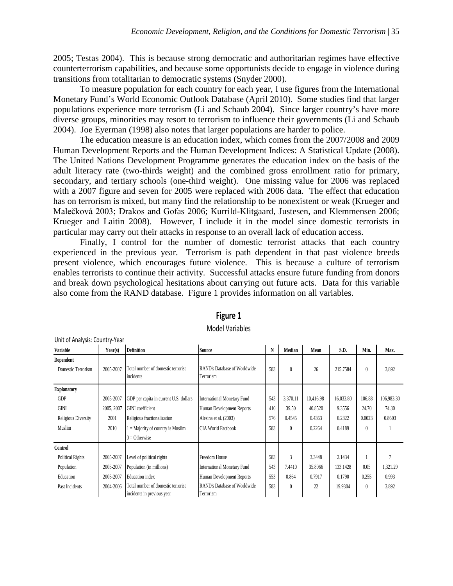2005; Testas 2004). This is because strong democratic and authoritarian regimes have effective counterterrorism capabilities, and because some opportunists decide to engage in violence during transitions from totalitarian to democratic systems (Snyder 2000).

To measure population for each country for each year, I use figures from the International Monetary Fund's World Economic Outlook Database (April 2010). Some studies find that larger populations experience more terrorism (Li and Schaub 2004). Since larger country's have more diverse groups, minorities may resort to terrorism to influence their governments (Li and Schaub 2004). Joe Eyerman (1998) also notes that larger populations are harder to police.

The education measure is an education index, which comes from the 2007/2008 and 2009 Human Development Reports and the Human Development Indices: A Statistical Update (2008). The United Nations Development Programme generates the education index on the basis of the adult literacy rate (two-thirds weight) and the combined gross enrollment ratio for primary, secondary, and tertiary schools (one-third weight). One missing value for 2006 was replaced with a 2007 figure and seven for 2005 were replaced with 2006 data. The effect that education has on terrorism is mixed, but many find the relationship to be nonexistent or weak (Krueger and Malečková 2003; Drakos and Gofas 2006; Kurrild-Klitgaard, Justesen, and Klemmensen 2006; Krueger and Laitin 2008). However, I include it in the model since domestic terrorists in particular may carry out their attacks in response to an overall lack of education access.

Finally, I control for the number of domestic terrorist attacks that each country experienced in the previous year. Terrorism is path dependent in that past violence breeds present violence, which encourages future violence. This is because a culture of terrorism enables terrorists to continue their activity. Successful attacks ensure future funding from donors and break down psychological hesitations about carrying out future acts. Data for this variable also come from the RAND database. Figure 1 provides information on all variables.

| Unit of Analysis: Country-Year |            |                                                                  |                                                  |     |               |           |           |          |            |  |
|--------------------------------|------------|------------------------------------------------------------------|--------------------------------------------------|-----|---------------|-----------|-----------|----------|------------|--|
| <b>Variable</b>                | Year(s)    | <b>Definition</b>                                                | Source                                           | N   | Median        | Mean      | S.D.      | Min.     | Max.       |  |
| Dependent                      |            |                                                                  |                                                  |     |               |           |           |          |            |  |
| Domestic Terrorism             | 2005-2007  | Total number of domestic terrorist<br>incidents                  | <b>RAND's Database of Worldwide</b><br>Terrorism | 583 | $\theta$      | 26        | 215.7584  | $\theta$ | 3,892      |  |
| <b>Explanatory</b>             |            |                                                                  |                                                  |     |               |           |           |          |            |  |
| <b>GDP</b>                     | 2005-2007  | GDP per capita in current U.S. dollars                           | <b>International Monetary Fund</b>               | 543 | 3,370.11      | 10,416.98 | 16,033.80 | 106.88   | 106,983.30 |  |
| <b>GINI</b>                    | 2005, 2007 | <b>GINI</b> coefficient                                          | Human Development Reports                        | 410 | 39.50         | 40.8520   | 9.3556    | 24.70    | 74.30      |  |
| Religious Diversity            | 2001       | Religious fractionalization                                      | Alesina et al. (2003)                            | 576 | 0.4545        | 0.4363    | 0.2322    | 0.0023   | 0.8603     |  |
| Muslim                         | 2010       | $1 =$ Majority of country is Muslim                              | <b>CIA World Factbook</b>                        | 583 | $\Omega$      | 0.2264    | 0.4189    | $\theta$ |            |  |
|                                |            | $0 =$ Otherwise                                                  |                                                  |     |               |           |           |          |            |  |
| Control                        |            |                                                                  |                                                  |     |               |           |           |          |            |  |
| <b>Political Rights</b>        | 2005-2007  | Level of political rights                                        | Freedom House                                    | 583 | $\mathcal{E}$ | 3.3448    | 2.1434    |          |            |  |
| Population                     | 2005-2007  | Population (in millions)                                         | <b>International Monetary Fund</b>               | 543 | 7.4410        | 35.8966   | 133.1428  | 0.05     | 1,321.29   |  |
| Education                      | 2005-2007  | <b>Education</b> index                                           | Human Development Reports                        | 553 | 0.864         | 0.7917    | 0.1790    | 0.255    | 0.993      |  |
| Past Incidents                 | 2004-2006  | Total number of domestic terrorist<br>incidents in previous year | <b>RAND's Database of Worldwide</b><br>Terrorism | 583 | $\theta$      | 22        | 19.9304   | $\theta$ | 3,892      |  |

# **Figure 1**

#### Model Variables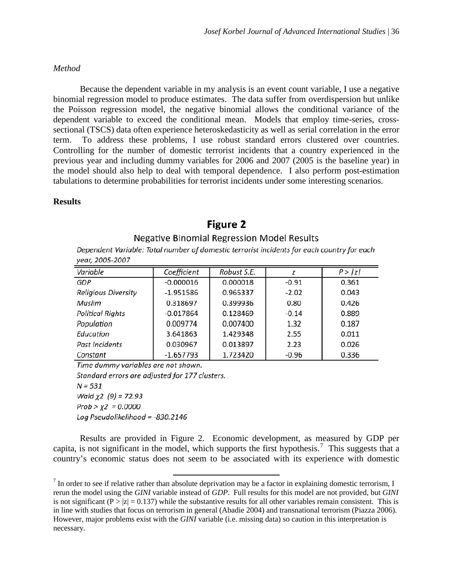#### *Method*

Because the dependent variable in my analysis is an event count variable, I use a negative binomial regression model to produce estimates. The data suffer from overdispersion but unlike the Poisson regression model, the negative binomial allows the conditional variance of the dependent variable to exceed the conditional mean. Models that employ time-series, crosssectional (TSCS) data often experience heteroskedasticity as well as serial correlation in the error term. To address these problems, I use robust standard errors clustered over countries. Controlling for the number of domestic terrorist incidents that a country experienced in the previous year and including dummy variables for 2006 and 2007 (2005 is the baseline year) in the model should also help to deal with temporal dependence. I also perform post-estimation tabulations to determine probabilities for terrorist incidents under some interesting scenarios.

#### **Results**

# **Figure 2**

#### Negative Binomial Regression Model Results

Dependent Variable: Total number of domestic terrorist incidents for each country for each vear, 2005-2007

| Variable                | Coefficient | Robust S.E. |         | P >  z |
|-------------------------|-------------|-------------|---------|--------|
| <b>GDP</b>              | $-0.000016$ | 0.000018    | $-0.91$ | 0.361  |
| Religious Diversity     | $-1.951586$ | 0.965337    | $-2.02$ | 0.043  |
| Muslim                  | 0.318697    | 0.399936    | 0.80    | 0.426  |
| <b>Political Rights</b> | $-0.017864$ | 0.128469    | $-0.14$ | 0.889  |
| Population              | 0.009774    | 0.007400    | 1.32    | 0.187  |
| Education               | 3.641863    | 1.429348    | 2.55    | 0.011  |
| Past Incidents          | 0.030967    | 0.013897    | 2.23    | 0.026  |
| Constant                | $-1.657793$ | 1.723420    | $-0.96$ | 0.336  |

Time dummy variables are not shown. Standard errors are adjusted for 177 clusters.  $N = 531$ Wald  $x2(9) = 72.93$ Prob >  $\chi$ 2 = 0.0000 Log Pseudolikelihood = -830.2146

ı

Results are provided in Figure 2. Economic development, as measured by GDP per capita, is not significant in the model, which supports the first hypothesis.<sup>[7](#page-10-0)</sup> This suggests that a country's economic status does not seem to be associated with its experience with domestic

<span id="page-10-0"></span> $^7$  In order to see if relative rather than absolute deprivation may be a factor in explaining domestic terrorism, I rerun the model using the *GINI* variable instead of *GDP*. Full results for this model are not provided, but *GINI* is not significant ( $P > |z| = 0.137$ ) while the substantive results for all other variables remain consistent. This is in line with studies that focus on terrorism in general (Abadie 2004) and transnational terrorism (Piazza 2006). However, major problems exist with the *GINI* variable (i.e. missing data) so caution in this interpretation is necessary.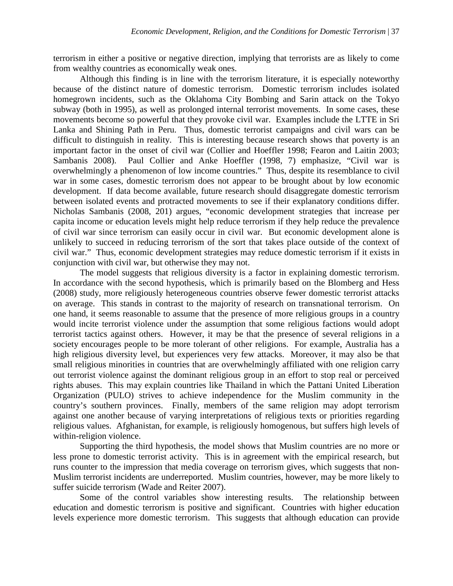terrorism in either a positive or negative direction, implying that terrorists are as likely to come from wealthy countries as economically weak ones.

Although this finding is in line with the terrorism literature, it is especially noteworthy because of the distinct nature of domestic terrorism. Domestic terrorism includes isolated homegrown incidents, such as the Oklahoma City Bombing and Sarin attack on the Tokyo subway (both in 1995), as well as prolonged internal terrorist movements. In some cases, these movements become so powerful that they provoke civil war. Examples include the LTTE in Sri Lanka and Shining Path in Peru. Thus, domestic terrorist campaigns and civil wars can be difficult to distinguish in reality. This is interesting because research shows that poverty is an important factor in the onset of civil war (Collier and Hoeffler 1998; Fearon and Laitin 2003; Sambanis 2008). Paul Collier and Anke Hoeffler (1998, 7) emphasize, "Civil war is overwhelmingly a phenomenon of low income countries." Thus, despite its resemblance to civil war in some cases, domestic terrorism does not appear to be brought about by low economic development. If data become available, future research should disaggregate domestic terrorism between isolated events and protracted movements to see if their explanatory conditions differ. Nicholas Sambanis (2008, 201) argues, "economic development strategies that increase per capita income or education levels might help reduce terrorism if they help reduce the prevalence of civil war since terrorism can easily occur in civil war. But economic development alone is unlikely to succeed in reducing terrorism of the sort that takes place outside of the context of civil war." Thus, economic development strategies may reduce domestic terrorism if it exists in conjunction with civil war, but otherwise they may not.

The model suggests that religious diversity is a factor in explaining domestic terrorism. In accordance with the second hypothesis, which is primarily based on the Blomberg and Hess (2008) study, more religiously heterogeneous countries observe fewer domestic terrorist attacks on average. This stands in contrast to the majority of research on transnational terrorism. On one hand, it seems reasonable to assume that the presence of more religious groups in a country would incite terrorist violence under the assumption that some religious factions would adopt terrorist tactics against others. However, it may be that the presence of several religions in a society encourages people to be more tolerant of other religions. For example, Australia has a high religious diversity level, but experiences very few attacks. Moreover, it may also be that small religious minorities in countries that are overwhelmingly affiliated with one religion carry out terrorist violence against the dominant religious group in an effort to stop real or perceived rights abuses. This may explain countries like Thailand in which the Pattani United Liberation Organization (PULO) strives to achieve independence for the Muslim community in the country's southern provinces. Finally, members of the same religion may adopt terrorism against one another because of varying interpretations of religious texts or priorities regarding religious values. Afghanistan, for example, is religiously homogenous, but suffers high levels of within-religion violence.

Supporting the third hypothesis, the model shows that Muslim countries are no more or less prone to domestic terrorist activity. This is in agreement with the empirical research, but runs counter to the impression that media coverage on terrorism gives, which suggests that non-Muslim terrorist incidents are underreported. Muslim countries, however, may be more likely to suffer suicide terrorism (Wade and Reiter 2007).

Some of the control variables show interesting results. The relationship between education and domestic terrorism is positive and significant. Countries with higher education levels experience more domestic terrorism. This suggests that although education can provide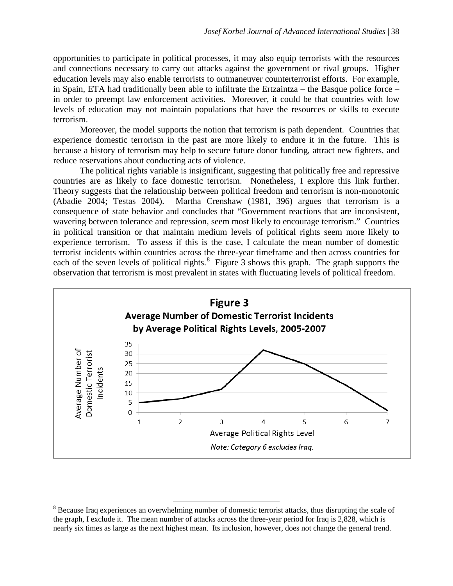opportunities to participate in political processes, it may also equip terrorists with the resources and connections necessary to carry out attacks against the government or rival groups. Higher education levels may also enable terrorists to outmaneuver counterterrorist efforts. For example, in Spain, ETA had traditionally been able to infiltrate the Ertzaintza – the Basque police force – in order to preempt law enforcement activities. Moreover, it could be that countries with low levels of education may not maintain populations that have the resources or skills to execute terrorism.

Moreover, the model supports the notion that terrorism is path dependent. Countries that experience domestic terrorism in the past are more likely to endure it in the future. This is because a history of terrorism may help to secure future donor funding, attract new fighters, and reduce reservations about conducting acts of violence.

The political rights variable is insignificant, suggesting that politically free and repressive countries are as likely to face domestic terrorism. Nonetheless, I explore this link further. Theory suggests that the relationship between political freedom and terrorism is non-monotonic (Abadie 2004; Testas 2004). Martha Crenshaw (1981, 396) argues that terrorism is a consequence of state behavior and concludes that "Government reactions that are inconsistent, wavering between tolerance and repression, seem most likely to encourage terrorism." Countries in political transition or that maintain medium levels of political rights seem more likely to experience terrorism. To assess if this is the case, I calculate the mean number of domestic terrorist incidents within countries across the three-year timeframe and then across countries for each of the seven levels of political rights.<sup>[8](#page-12-0)</sup> Figure 3 shows this graph. The graph supports the observation that terrorism is most prevalent in states with fluctuating levels of political freedom.



<span id="page-12-0"></span><sup>&</sup>lt;sup>8</sup> Because Iraq experiences an overwhelming number of domestic terrorist attacks, thus disrupting the scale of the graph, I exclude it. The mean number of attacks across the three-year period for Iraq is 2,828, which is nearly six times as large as the next highest mean. Its inclusion, however, does not change the general trend.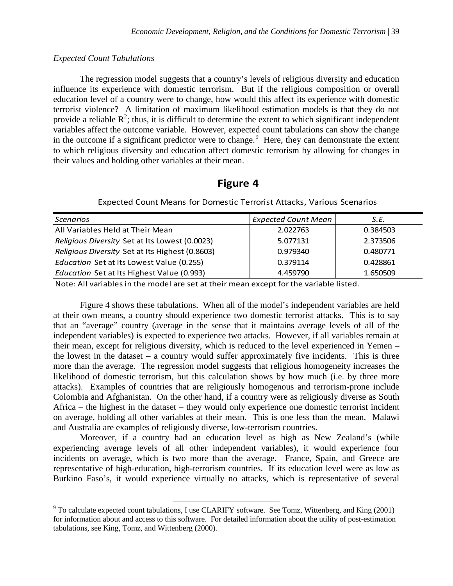#### *Expected Count Tabulations*

The regression model suggests that a country's levels of religious diversity and education influence its experience with domestic terrorism. But if the religious composition or overall education level of a country were to change, how would this affect its experience with domestic terrorist violence? A limitation of maximum likelihood estimation models is that they do not provide a reliable  $R^2$ ; thus, it is difficult to determine the extent to which significant independent variables affect the outcome variable. However, expected count tabulations can show the change in the outcome if a significant predictor were to change.<sup>[9](#page-13-0)</sup> Here, they can demonstrate the extent to which religious diversity and education affect domestic terrorism by allowing for changes in their values and holding other variables at their mean.

## **Figure 4**

| <b>Scenarios</b>                                | <b>Expected Count Mean</b> | S.E.     |
|-------------------------------------------------|----------------------------|----------|
| All Variables Held at Their Mean                | 2.022763                   | 0.384503 |
| Religious Diversity Set at Its Lowest (0.0023)  | 5.077131                   | 2.373506 |
| Religious Diversity Set at Its Highest (0.8603) | 0.979340                   | 0.480771 |
| Education Set at Its Lowest Value (0.255)       | 0.379114                   | 0.428861 |
| Education Set at Its Highest Value (0.993)      | 4.459790                   | 1.650509 |

Expected Count Means for Domestic Terrorist Attacks, Various Scenarios

Note: All variables in the model are set at their mean except for the variable listed.

Figure 4 shows these tabulations. When all of the model's independent variables are held at their own means, a country should experience two domestic terrorist attacks. This is to say that an "average" country (average in the sense that it maintains average levels of all of the independent variables) is expected to experience two attacks. However, if all variables remain at their mean, except for religious diversity, which is reduced to the level experienced in Yemen – the lowest in the dataset  $-$  a country would suffer approximately five incidents. This is three more than the average. The regression model suggests that religious homogeneity increases the likelihood of domestic terrorism, but this calculation shows by how much (i.e. by three more attacks). Examples of countries that are religiously homogenous and terrorism-prone include Colombia and Afghanistan. On the other hand, if a country were as religiously diverse as South Africa – the highest in the dataset – they would only experience one domestic terrorist incident on average, holding all other variables at their mean. This is one less than the mean. Malawi and Australia are examples of religiously diverse, low-terrorism countries.

Moreover, if a country had an education level as high as New Zealand's (while experiencing average levels of all other independent variables), it would experience four incidents on average, which is two more than the average. France, Spain, and Greece are representative of high-education, high-terrorism countries. If its education level were as low as Burkino Faso's, it would experience virtually no attacks, which is representative of several

<span id="page-13-0"></span> $9^9$  To calculate expected count tabulations, I use CLARIFY software. See Tomz, Wittenberg, and King (2001) for information about and access to this software. For detailed information about the utility of post-estimation tabulations, see King, Tomz, and Wittenberg (2000).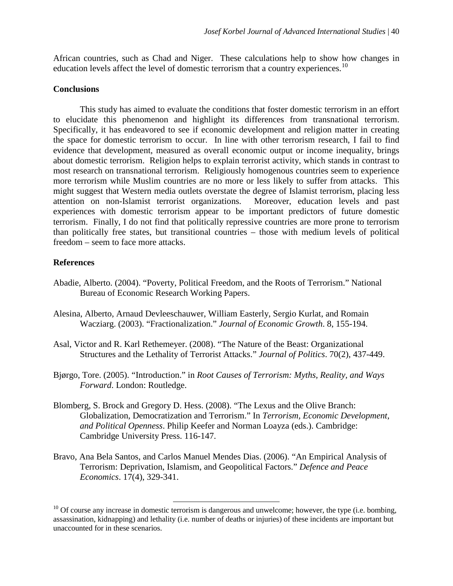African countries, such as Chad and Niger. These calculations help to show how changes in education levels affect the level of domestic terrorism that a country experiences.<sup>[10](#page-14-0)</sup>

#### **Conclusions**

This study has aimed to evaluate the conditions that foster domestic terrorism in an effort to elucidate this phenomenon and highlight its differences from transnational terrorism. Specifically, it has endeavored to see if economic development and religion matter in creating the space for domestic terrorism to occur. In line with other terrorism research, I fail to find evidence that development, measured as overall economic output or income inequality, brings about domestic terrorism. Religion helps to explain terrorist activity, which stands in contrast to most research on transnational terrorism. Religiously homogenous countries seem to experience more terrorism while Muslim countries are no more or less likely to suffer from attacks. This might suggest that Western media outlets overstate the degree of Islamist terrorism, placing less attention on non-Islamist terrorist organizations. Moreover, education levels and past experiences with domestic terrorism appear to be important predictors of future domestic terrorism. Finally, I do not find that politically repressive countries are more prone to terrorism than politically free states, but transitional countries – those with medium levels of political freedom – seem to face more attacks.

### **References**

- Abadie, Alberto. (2004). "Poverty, Political Freedom, and the Roots of Terrorism." National Bureau of Economic Research Working Papers.
- Alesina, Alberto, Arnaud Devleeschauwer, William Easterly, Sergio Kurlat, and Romain Wacziarg. (2003). "Fractionalization." *Journal of Economic Growth*. 8, 155-194.
- Asal, Victor and R. Karl Rethemeyer. (2008). "The Nature of the Beast: Organizational Structures and the Lethality of Terrorist Attacks." *Journal of Politics*. 70(2), 437-449.
- Bjørgo, Tore. (2005). "Introduction." in *Root Causes of Terrorism: Myths, Reality, and Ways Forward*. London: Routledge.
- Blomberg, S. Brock and Gregory D. Hess. (2008). "The Lexus and the Olive Branch: Globalization, Democratization and Terrorism." In *Terrorism, Economic Development, and Political Openness*. Philip Keefer and Norman Loayza (eds.). Cambridge: Cambridge University Press. 116-147.
- Bravo, Ana Bela Santos, and Carlos Manuel Mendes Dias. (2006). "An Empirical Analysis of Terrorism: Deprivation, Islamism, and Geopolitical Factors." *Defence and Peace Economics*. 17(4), 329-341.

<span id="page-14-0"></span> $10$  Of course any increase in domestic terrorism is dangerous and unwelcome; however, the type (i.e. bombing, assassination, kidnapping) and lethality (i.e. number of deaths or injuries) of these incidents are important but unaccounted for in these scenarios.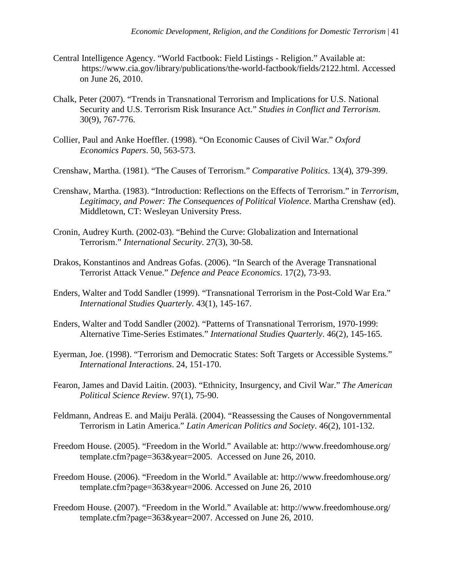- Central Intelligence Agency. "World Factbook: Field Listings Religion." Available at: https://www.cia.gov/library/publications/the-world-factbook/fields/2122.html. Accessed on June 26, 2010.
- Chalk, Peter (2007). ["Trends in Transnational Terrorism and Implications for U.S. National](https://sremote.pitt.edu/smpp/,DanaInfo=www.informaworld.com+content~db=all~content=a781320507)  [Security and U.S. Terrorism Risk Insurance Act.](https://sremote.pitt.edu/smpp/,DanaInfo=www.informaworld.com+content~db=all~content=a781320507)" *Studies in Conflict and Terrorism*. 30(9), 767-776.
- Collier, Paul and Anke Hoeffler. (1998). "On Economic Causes of Civil War." *Oxford Economics Papers*. 50, 563-573.
- Crenshaw, Martha. (1981). "The Causes of Terrorism." *Comparative Politics*. 13(4), 379-399.
- Crenshaw, Martha. (1983). "Introduction: Reflections on the Effects of Terrorism." in *Terrorism, Legitimacy, and Power: The Consequences of Political Violence*. Martha Crenshaw (ed). Middletown, CT: Wesleyan University Press.
- Cronin, Audrey Kurth. (2002-03). "Behind the Curve: Globalization and International Terrorism." *International Security*. 27(3), 30-58.
- Drakos, Konstantinos and Andreas Gofas. (2006). "In Search of the Average Transnational Terrorist Attack Venue." *Defence and Peace Economics*. 17(2), 73-93.
- Enders, Walter and Todd Sandler (1999). "Transnational Terrorism in the Post-Cold War Era." *International Studies Quarterly*. 43(1), 145-167.
- Enders, Walter and Todd Sandler (2002). "Patterns of Transnational Terrorism, 1970-1999: Alternative Time-Series Estimates." *International Studies Quarterly*. 46(2), 145-165.
- Eyerman, Joe. (1998). "Terrorism and Democratic States: Soft Targets or Accessible Systems." *International Interactions*. 24, 151-170.
- Fearon, James and David Laitin. (2003). "Ethnicity, Insurgency, and Civil War." *The American Political Science Review*. 97(1), 75-90.
- Feldmann, Andreas E. and Maiju Perälä. (2004). "Reassessing the Causes of Nongovernmental Terrorism in Latin America." *Latin American Politics and Society*. 46(2), 101-132.
- Freedom House. (2005). "Freedom in the World." Available at: http://www.freedomhouse.org/ template.cfm?page=363&year=2005. Accessed on June 26, 2010.
- Freedom House. (2006). "Freedom in the World." Available at: http://www.freedomhouse.org/ template.cfm?page=363&year=2006. Accessed on June 26, 2010
- Freedom House. (2007). "Freedom in the World." Available at: http://www.freedomhouse.org/ template.cfm?page=363&year=2007. Accessed on June 26, 2010.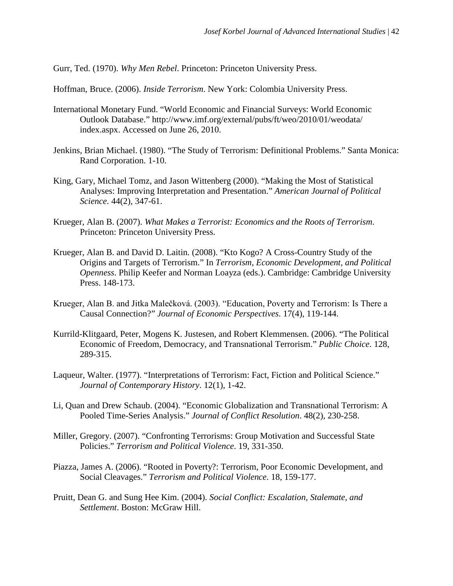Gurr, Ted. (1970). *Why Men Rebel*. Princeton: Princeton University Press.

Hoffman, Bruce. (2006). *Inside Terrorism*. New York: Colombia University Press.

- International Monetary Fund. "World Economic and Financial Surveys: World Economic Outlook Database." http://www.imf.org/external/pubs/ft/weo/2010/01/weodata/ index.aspx. Accessed on June 26, 2010.
- Jenkins, Brian Michael. (1980). "The Study of Terrorism: Definitional Problems." Santa Monica: Rand Corporation. 1-10.
- King, Gary, Michael Tomz, and Jason Wittenberg (2000). "Making the Most of Statistical Analyses: Improving Interpretation and Presentation." *American Journal of Political Science*. 44(2), 347-61.
- Krueger, Alan B. (2007). *What Makes a Terrorist: Economics and the Roots of Terrorism*. Princeton: Princeton University Press.
- Krueger, Alan B. and David D. Laitin. (2008). "Kto Kogo? A Cross-Country Study of the Origins and Targets of Terrorism." In *Terrorism, Economic Development, and Political Openness*. Philip Keefer and Norman Loayza (eds.). Cambridge: Cambridge University Press. 148-173.
- Krueger, Alan B. and Jitka Malečková. (2003). "Education, Poverty and Terrorism: Is There a Causal Connection?" *Journal of Economic Perspectives*. 17(4), 119-144.
- Kurrild-Klitgaard, Peter, Mogens K. Justesen, and Robert Klemmensen. (2006). "The Political Economic of Freedom, Democracy, and Transnational Terrorism." *Public Choice*. 128, 289-315.
- Laqueur, Walter. (1977). "Interpretations of Terrorism: Fact, Fiction and Political Science." *Journal of Contemporary History*. 12(1), 1-42.
- Li, Quan and Drew Schaub. (2004). "Economic Globalization and Transnational Terrorism: A Pooled Time-Series Analysis." *Journal of Conflict Resolution*. 48(2), 230-258.
- Miller, Gregory. (2007). "Confronting Terrorisms: Group Motivation and Successful State Policies." *Terrorism and Political Violence*. 19, 331-350.
- Piazza, James A. (2006). "Rooted in Poverty?: Terrorism, Poor Economic Development, and Social Cleavages." *Terrorism and Political Violence*. 18, 159-177.
- Pruitt, Dean G. and Sung Hee Kim. (2004). *Social Conflict: Escalation, Stalemate, and Settlement*. Boston: McGraw Hill.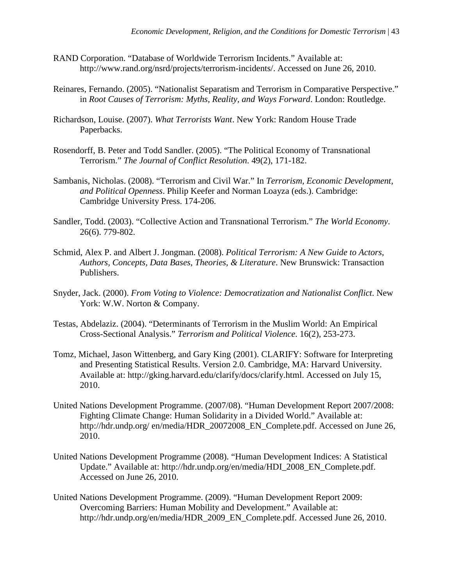- RAND Corporation. "Database of Worldwide Terrorism Incidents." Available at: http://www.rand.org/nsrd/projects/terrorism-incidents/. Accessed on June 26, 2010.
- Reinares, Fernando. (2005). "Nationalist Separatism and Terrorism in Comparative Perspective." in *Root Causes of Terrorism: Myths, Reality, and Ways Forward*. London: Routledge.
- Richardson, Louise. (2007). *What Terrorists Want*. New York: Random House Trade Paperbacks.
- Rosendorff, B. Peter and Todd Sandler. (2005). "The Political Economy of Transnational Terrorism." *The Journal of Conflict Resolution*. 49(2), 171-182.
- Sambanis, Nicholas. (2008). "Terrorism and Civil War." In *Terrorism, Economic Development, and Political Openness*. Philip Keefer and Norman Loayza (eds.). Cambridge: Cambridge University Press. 174-206.
- Sandler, Todd. (2003). "Collective Action and Transnational Terrorism." *The World Economy*. 26(6). 779-802.
- Schmid, Alex P. and Albert J. Jongman. (2008). *Political Terrorism: A New Guide to Actors, Authors, Concepts, Data Bases, Theories, & Literature*. New Brunswick: Transaction Publishers.
- Snyder, Jack. (2000). *From Voting to Violence: Democratization and Nationalist Conflict*. New York: W.W. Norton & Company.
- Testas, Abdelaziz. (2004). "Determinants of Terrorism in the Muslim World: An Empirical Cross-Sectional Analysis." *Terrorism and Political Violence*. 16(2), 253-273.
- Tomz, Michael, Jason Wittenberg, and Gary King (2001). CLARIFY: Software for Interpreting and Presenting Statistical Results. Version 2.0. Cambridge, MA: Harvard University. Available at: http://gking.harvard.edu/clarify/docs/clarify.html. Accessed on July 15, 2010.
- United Nations Development Programme. (2007/08). "Human Development Report 2007/2008: Fighting Climate Change: Human Solidarity in a Divided World." Available at: http://hdr.undp.org/ en/media/HDR\_20072008\_EN\_Complete.pdf. Accessed on June 26, 2010.
- United Nations Development Programme (2008). "Human Development Indices: A Statistical Update." Available at: http://hdr.undp.org/en/media/HDI\_2008\_EN\_Complete.pdf. Accessed on June 26, 2010.
- United Nations Development Programme. (2009). "Human Development Report 2009: Overcoming Barriers: Human Mobility and Development." Available at: http://hdr.undp.org/en/media/HDR\_2009\_EN\_Complete.pdf. Accessed June 26, 2010.